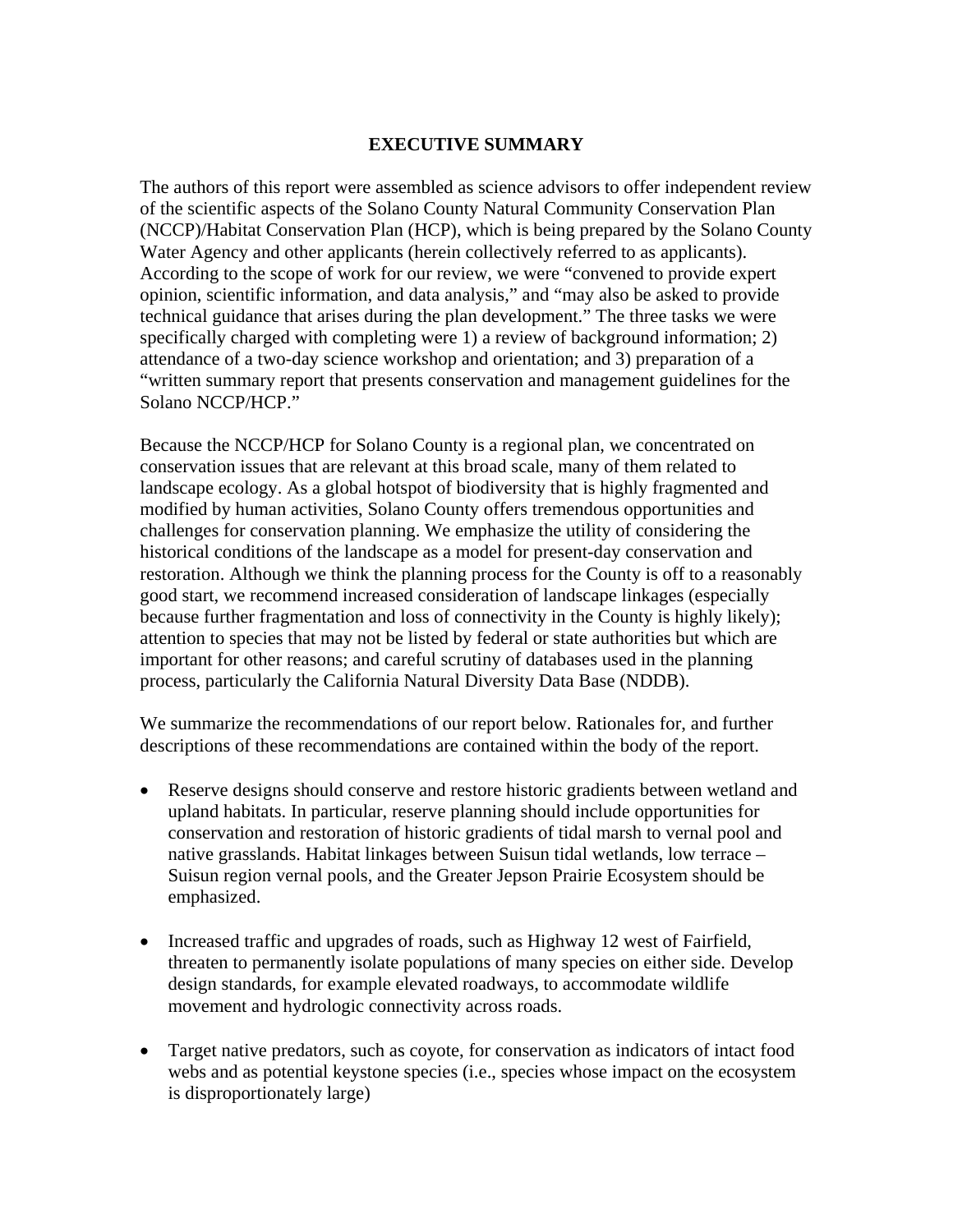## **EXECUTIVE SUMMARY**

The authors of this report were assembled as science advisors to offer independent review of the scientific aspects of the Solano County Natural Community Conservation Plan (NCCP)/Habitat Conservation Plan (HCP), which is being prepared by the Solano County Water Agency and other applicants (herein collectively referred to as applicants). According to the scope of work for our review, we were "convened to provide expert opinion, scientific information, and data analysis," and "may also be asked to provide technical guidance that arises during the plan development." The three tasks we were specifically charged with completing were 1) a review of background information; 2) attendance of a two-day science workshop and orientation; and 3) preparation of a "written summary report that presents conservation and management guidelines for the Solano NCCP/HCP."

Because the NCCP/HCP for Solano County is a regional plan, we concentrated on conservation issues that are relevant at this broad scale, many of them related to landscape ecology. As a global hotspot of biodiversity that is highly fragmented and modified by human activities, Solano County offers tremendous opportunities and challenges for conservation planning. We emphasize the utility of considering the historical conditions of the landscape as a model for present-day conservation and restoration. Although we think the planning process for the County is off to a reasonably good start, we recommend increased consideration of landscape linkages (especially because further fragmentation and loss of connectivity in the County is highly likely); attention to species that may not be listed by federal or state authorities but which are important for other reasons; and careful scrutiny of databases used in the planning process, particularly the California Natural Diversity Data Base (NDDB).

We summarize the recommendations of our report below. Rationales for, and further descriptions of these recommendations are contained within the body of the report.

- Reserve designs should conserve and restore historic gradients between wetland and upland habitats. In particular, reserve planning should include opportunities for conservation and restoration of historic gradients of tidal marsh to vernal pool and native grasslands. Habitat linkages between Suisun tidal wetlands, low terrace – Suisun region vernal pools, and the Greater Jepson Prairie Ecosystem should be emphasized.
- Increased traffic and upgrades of roads, such as Highway 12 west of Fairfield, threaten to permanently isolate populations of many species on either side. Develop design standards, for example elevated roadways, to accommodate wildlife movement and hydrologic connectivity across roads.
- Target native predators, such as coyote, for conservation as indicators of intact food webs and as potential keystone species (i.e., species whose impact on the ecosystem is disproportionately large)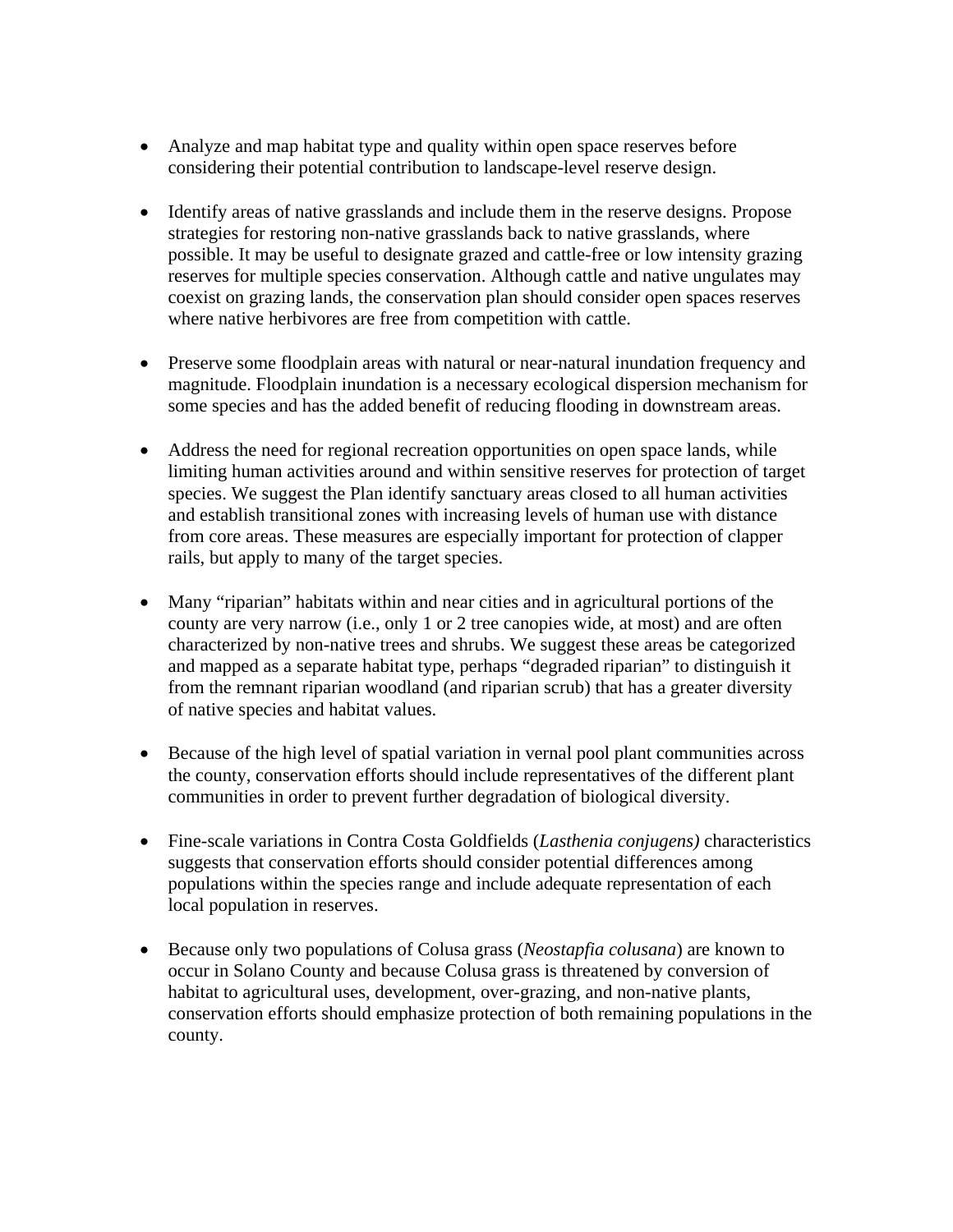- Analyze and map habitat type and quality within open space reserves before considering their potential contribution to landscape-level reserve design.
- Identify areas of native grasslands and include them in the reserve designs. Propose strategies for restoring non-native grasslands back to native grasslands, where possible. It may be useful to designate grazed and cattle-free or low intensity grazing reserves for multiple species conservation. Although cattle and native ungulates may coexist on grazing lands, the conservation plan should consider open spaces reserves where native herbivores are free from competition with cattle.
- Preserve some floodplain areas with natural or near-natural inundation frequency and magnitude. Floodplain inundation is a necessary ecological dispersion mechanism for some species and has the added benefit of reducing flooding in downstream areas.
- Address the need for regional recreation opportunities on open space lands, while limiting human activities around and within sensitive reserves for protection of target species. We suggest the Plan identify sanctuary areas closed to all human activities and establish transitional zones with increasing levels of human use with distance from core areas. These measures are especially important for protection of clapper rails, but apply to many of the target species.
- Many "riparian" habitats within and near cities and in agricultural portions of the county are very narrow (i.e., only 1 or 2 tree canopies wide, at most) and are often characterized by non-native trees and shrubs. We suggest these areas be categorized and mapped as a separate habitat type, perhaps "degraded riparian" to distinguish it from the remnant riparian woodland (and riparian scrub) that has a greater diversity of native species and habitat values.
- Because of the high level of spatial variation in vernal pool plant communities across the county, conservation efforts should include representatives of the different plant communities in order to prevent further degradation of biological diversity.
- Fine-scale variations in Contra Costa Goldfields (*Lasthenia conjugens)* characteristics suggests that conservation efforts should consider potential differences among populations within the species range and include adequate representation of each local population in reserves.
- Because only two populations of Colusa grass (*Neostapfia colusana*) are known to occur in Solano County and because Colusa grass is threatened by conversion of habitat to agricultural uses, development, over-grazing, and non-native plants, conservation efforts should emphasize protection of both remaining populations in the county.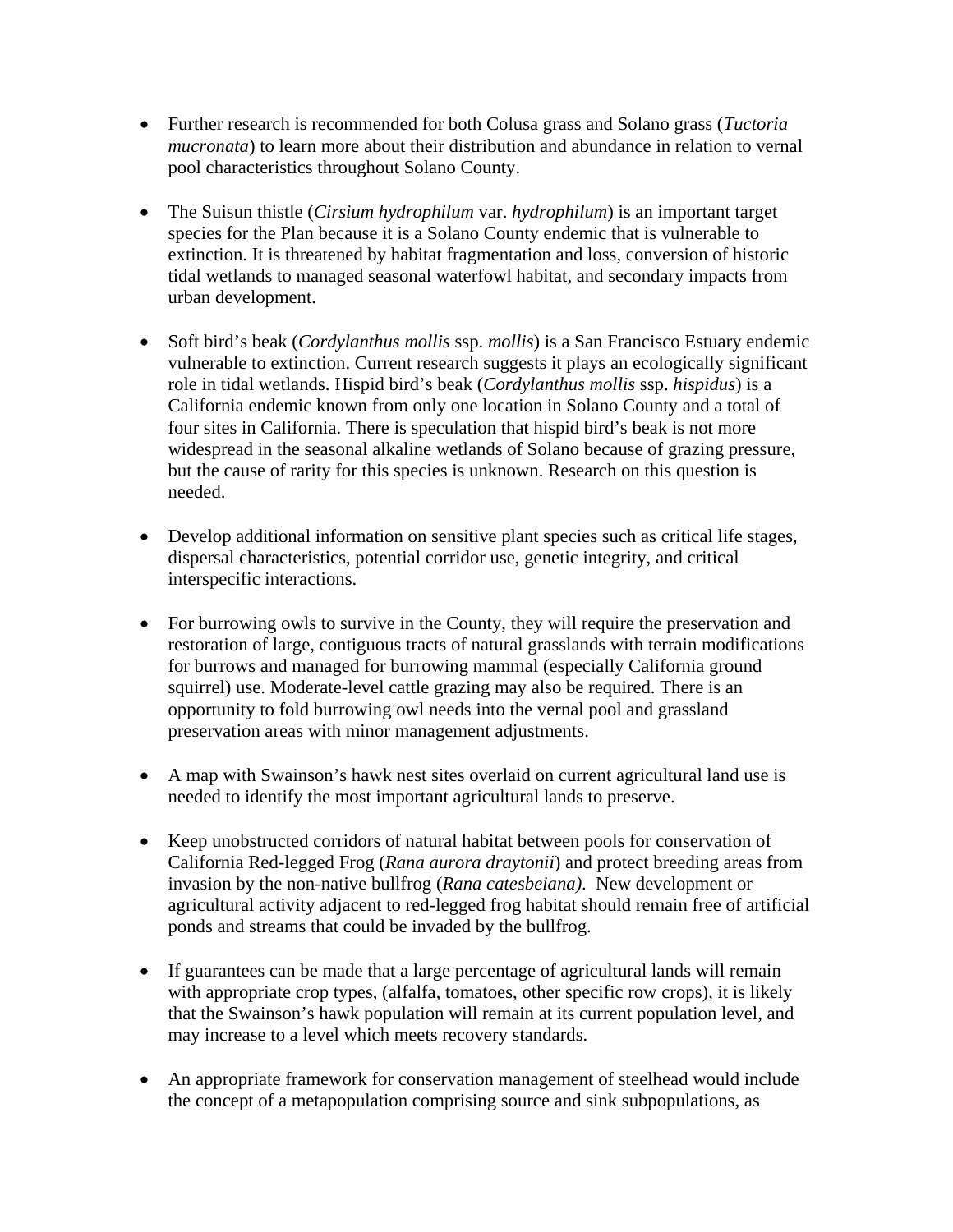- Further research is recommended for both Colusa grass and Solano grass (*Tuctoria mucronata*) to learn more about their distribution and abundance in relation to vernal pool characteristics throughout Solano County.
- The Suisun thistle *(Cirsium hydrophilum var. hydrophilum*) is an important target species for the Plan because it is a Solano County endemic that is vulnerable to extinction. It is threatened by habitat fragmentation and loss, conversion of historic tidal wetlands to managed seasonal waterfowl habitat, and secondary impacts from urban development.
- Soft bird's beak (*Cordylanthus mollis* ssp. *mollis*) is a San Francisco Estuary endemic vulnerable to extinction. Current research suggests it plays an ecologically significant role in tidal wetlands. Hispid bird's beak (*Cordylanthus mollis* ssp. *hispidus*) is a California endemic known from only one location in Solano County and a total of four sites in California. There is speculation that hispid bird's beak is not more widespread in the seasonal alkaline wetlands of Solano because of grazing pressure, but the cause of rarity for this species is unknown. Research on this question is needed.
- Develop additional information on sensitive plant species such as critical life stages, dispersal characteristics, potential corridor use, genetic integrity, and critical interspecific interactions.
- For burrowing owls to survive in the County, they will require the preservation and restoration of large, contiguous tracts of natural grasslands with terrain modifications for burrows and managed for burrowing mammal (especially California ground squirrel) use. Moderate-level cattle grazing may also be required. There is an opportunity to fold burrowing owl needs into the vernal pool and grassland preservation areas with minor management adjustments.
- A map with Swainson's hawk nest sites overlaid on current agricultural land use is needed to identify the most important agricultural lands to preserve.
- Keep unobstructed corridors of natural habitat between pools for conservation of California Red-legged Frog (*Rana aurora draytonii*) and protect breeding areas from invasion by the non-native bullfrog (*Rana catesbeiana)*. New development or agricultural activity adjacent to red-legged frog habitat should remain free of artificial ponds and streams that could be invaded by the bullfrog.
- If guarantees can be made that a large percentage of agricultural lands will remain with appropriate crop types, (alfalfa, tomatoes, other specific row crops), it is likely that the Swainson's hawk population will remain at its current population level, and may increase to a level which meets recovery standards.
- An appropriate framework for conservation management of steelhead would include the concept of a metapopulation comprising source and sink subpopulations, as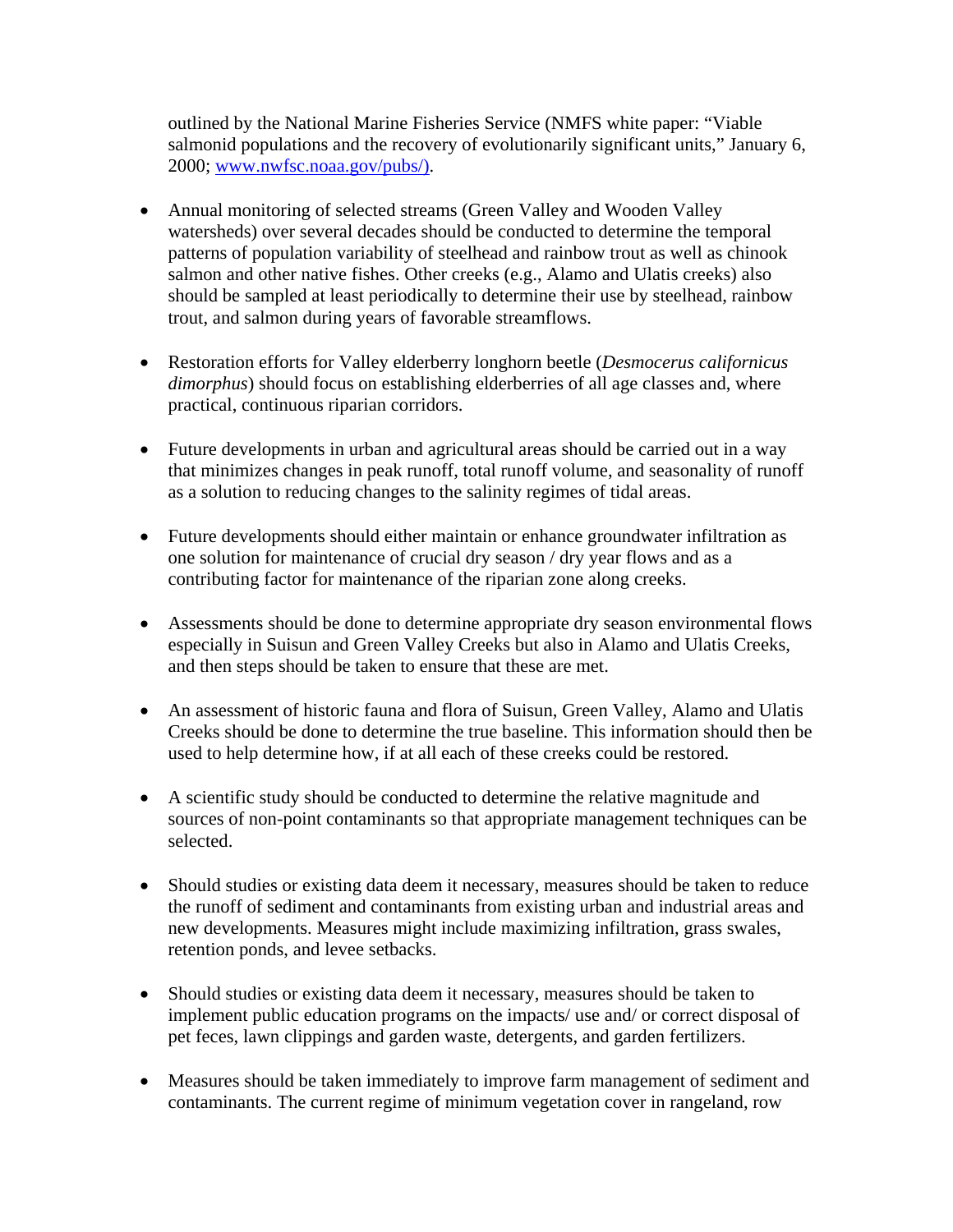outlined by the National Marine Fisheries Service (NMFS white paper: "Viable salmonid populations and the recovery of evolutionarily significant units," January 6, 2000; www.nwfsc.noaa.gov/pubs/).

- Annual monitoring of selected streams (Green Valley and Wooden Valley watersheds) over several decades should be conducted to determine the temporal patterns of population variability of steelhead and rainbow trout as well as chinook salmon and other native fishes. Other creeks (e.g., Alamo and Ulatis creeks) also should be sampled at least periodically to determine their use by steelhead, rainbow trout, and salmon during years of favorable streamflows.
- Restoration efforts for Valley elderberry longhorn beetle (*Desmocerus californicus dimorphus*) should focus on establishing elderberries of all age classes and, where practical, continuous riparian corridors.
- Future developments in urban and agricultural areas should be carried out in a way that minimizes changes in peak runoff, total runoff volume, and seasonality of runoff as a solution to reducing changes to the salinity regimes of tidal areas.
- Future developments should either maintain or enhance groundwater infiltration as one solution for maintenance of crucial dry season / dry year flows and as a contributing factor for maintenance of the riparian zone along creeks.
- Assessments should be done to determine appropriate dry season environmental flows especially in Suisun and Green Valley Creeks but also in Alamo and Ulatis Creeks, and then steps should be taken to ensure that these are met.
- An assessment of historic fauna and flora of Suisun, Green Valley, Alamo and Ulatis Creeks should be done to determine the true baseline. This information should then be used to help determine how, if at all each of these creeks could be restored.
- A scientific study should be conducted to determine the relative magnitude and sources of non-point contaminants so that appropriate management techniques can be selected.
- Should studies or existing data deem it necessary, measures should be taken to reduce the runoff of sediment and contaminants from existing urban and industrial areas and new developments. Measures might include maximizing infiltration, grass swales, retention ponds, and levee setbacks.
- Should studies or existing data deem it necessary, measures should be taken to implement public education programs on the impacts/ use and/ or correct disposal of pet feces, lawn clippings and garden waste, detergents, and garden fertilizers.
- Measures should be taken immediately to improve farm management of sediment and contaminants. The current regime of minimum vegetation cover in rangeland, row